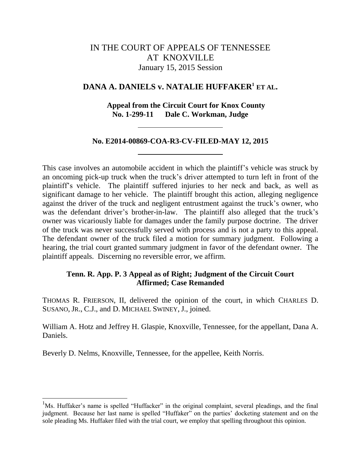# IN THE COURT OF APPEALS OF TENNESSEE AT KNOXVILLE January 15, 2015 Session

## **DANA A. DANIELS v. NATALIE HUFFAKER<sup>1</sup> ET AL.**

## **Appeal from the Circuit Court for Knox County No. 1-299-11 Dale C. Workman, Judge**

## **No. E2014-00869-COA-R3-CV-FILED-MAY 12, 2015**

This case involves an automobile accident in which the plaintiff"s vehicle was struck by an oncoming pick-up truck when the truck's driver attempted to turn left in front of the plaintiff"s vehicle. The plaintiff suffered injuries to her neck and back, as well as significant damage to her vehicle. The plaintiff brought this action, alleging negligence against the driver of the truck and negligent entrustment against the truck"s owner, who was the defendant driver's brother-in-law. The plaintiff also alleged that the truck's owner was vicariously liable for damages under the family purpose doctrine. The driver of the truck was never successfully served with process and is not a party to this appeal. The defendant owner of the truck filed a motion for summary judgment. Following a hearing, the trial court granted summary judgment in favor of the defendant owner. The plaintiff appeals. Discerning no reversible error, we affirm.

## **Tenn. R. App. P. 3 Appeal as of Right; Judgment of the Circuit Court Affirmed; Case Remanded**

THOMAS R. FRIERSON, II, delivered the opinion of the court, in which CHARLES D. SUSANO, JR., C.J., and D. MICHAEL SWINEY, J., joined.

William A. Hotz and Jeffrey H. Glaspie, Knoxville, Tennessee, for the appellant, Dana A. Daniels.

Beverly D. Nelms, Knoxville, Tennessee, for the appellee, Keith Norris.

l

 $<sup>1</sup>Ms$ . Huffaker's name is spelled "Huffacker" in the original complaint, several pleadings, and the final</sup> judgment. Because her last name is spelled "Huffaker" on the parties' docketing statement and on the sole pleading Ms. Huffaker filed with the trial court, we employ that spelling throughout this opinion.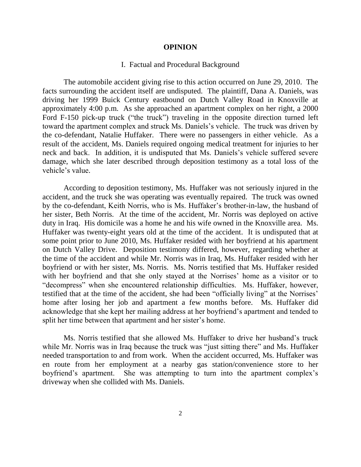#### **OPINION**

### I. Factual and Procedural Background

The automobile accident giving rise to this action occurred on June 29, 2010. The facts surrounding the accident itself are undisputed. The plaintiff, Dana A. Daniels, was driving her 1999 Buick Century eastbound on Dutch Valley Road in Knoxville at approximately 4:00 p.m. As she approached an apartment complex on her right, a 2000 Ford F-150 pick-up truck ("the truck") traveling in the opposite direction turned left toward the apartment complex and struck Ms. Daniels"s vehicle. The truck was driven by the co-defendant, Natalie Huffaker. There were no passengers in either vehicle. As a result of the accident, Ms. Daniels required ongoing medical treatment for injuries to her neck and back. In addition, it is undisputed that Ms. Daniels"s vehicle suffered severe damage, which she later described through deposition testimony as a total loss of the vehicle's value.

According to deposition testimony, Ms. Huffaker was not seriously injured in the accident, and the truck she was operating was eventually repaired. The truck was owned by the co-defendant, Keith Norris, who is Ms. Huffaker"s brother-in-law, the husband of her sister, Beth Norris. At the time of the accident, Mr. Norris was deployed on active duty in Iraq. His domicile was a home he and his wife owned in the Knoxville area. Ms. Huffaker was twenty-eight years old at the time of the accident. It is undisputed that at some point prior to June 2010, Ms. Huffaker resided with her boyfriend at his apartment on Dutch Valley Drive. Deposition testimony differed, however, regarding whether at the time of the accident and while Mr. Norris was in Iraq, Ms. Huffaker resided with her boyfriend or with her sister, Ms. Norris. Ms. Norris testified that Ms. Huffaker resided with her boyfriend and that she only stayed at the Norrises' home as a visitor or to "decompress" when she encountered relationship difficulties. Ms. Huffaker, however, testified that at the time of the accident, she had been "officially living" at the Norrises" home after losing her job and apartment a few months before. Ms. Huffaker did acknowledge that she kept her mailing address at her boyfriend"s apartment and tended to split her time between that apartment and her sister's home.

Ms. Norris testified that she allowed Ms. Huffaker to drive her husband"s truck while Mr. Norris was in Iraq because the truck was "just sitting there" and Ms. Huffaker needed transportation to and from work. When the accident occurred, Ms. Huffaker was en route from her employment at a nearby gas station/convenience store to her boyfriend"s apartment. She was attempting to turn into the apartment complex"s driveway when she collided with Ms. Daniels.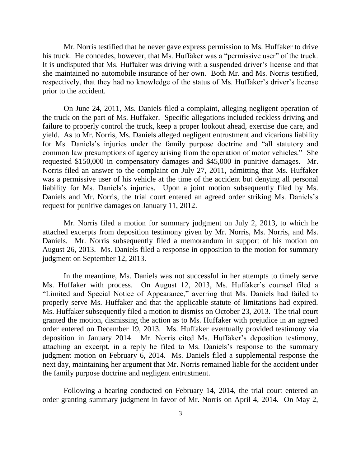Mr. Norris testified that he never gave express permission to Ms. Huffaker to drive his truck. He concedes, however, that Ms. Huffaker was a "permissive user" of the truck. It is undisputed that Ms. Huffaker was driving with a suspended driver"s license and that she maintained no automobile insurance of her own. Both Mr. and Ms. Norris testified, respectively, that they had no knowledge of the status of Ms. Huffaker's driver's license prior to the accident.

On June 24, 2011, Ms. Daniels filed a complaint, alleging negligent operation of the truck on the part of Ms. Huffaker. Specific allegations included reckless driving and failure to properly control the truck, keep a proper lookout ahead, exercise due care, and yield. As to Mr. Norris, Ms. Daniels alleged negligent entrustment and vicarious liability for Ms. Daniels"s injuries under the family purpose doctrine and "all statutory and common law presumptions of agency arising from the operation of motor vehicles." She requested \$150,000 in compensatory damages and \$45,000 in punitive damages. Mr. Norris filed an answer to the complaint on July 27, 2011, admitting that Ms. Huffaker was a permissive user of his vehicle at the time of the accident but denying all personal liability for Ms. Daniels"s injuries. Upon a joint motion subsequently filed by Ms. Daniels and Mr. Norris, the trial court entered an agreed order striking Ms. Daniels's request for punitive damages on January 11, 2012.

Mr. Norris filed a motion for summary judgment on July 2, 2013, to which he attached excerpts from deposition testimony given by Mr. Norris, Ms. Norris, and Ms. Daniels. Mr. Norris subsequently filed a memorandum in support of his motion on August 26, 2013. Ms. Daniels filed a response in opposition to the motion for summary judgment on September 12, 2013.

In the meantime, Ms. Daniels was not successful in her attempts to timely serve Ms. Huffaker with process. On August 12, 2013, Ms. Huffaker's counsel filed a "Limited and Special Notice of Appearance," averring that Ms. Daniels had failed to properly serve Ms. Huffaker and that the applicable statute of limitations had expired. Ms. Huffaker subsequently filed a motion to dismiss on October 23, 2013. The trial court granted the motion, dismissing the action as to Ms. Huffaker with prejudice in an agreed order entered on December 19, 2013. Ms. Huffaker eventually provided testimony via deposition in January 2014. Mr. Norris cited Ms. Huffaker's deposition testimony, attaching an excerpt, in a reply he filed to Ms. Daniels"s response to the summary judgment motion on February 6, 2014. Ms. Daniels filed a supplemental response the next day, maintaining her argument that Mr. Norris remained liable for the accident under the family purpose doctrine and negligent entrustment.

Following a hearing conducted on February 14, 2014, the trial court entered an order granting summary judgment in favor of Mr. Norris on April 4, 2014. On May 2,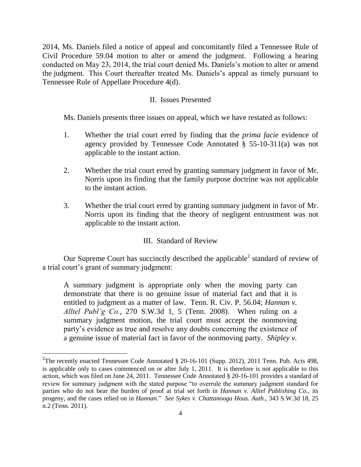2014, Ms. Daniels filed a notice of appeal and concomitantly filed a Tennessee Rule of Civil Procedure 59.04 motion to alter or amend the judgment. Following a hearing conducted on May 23, 2014, the trial court denied Ms. Daniels's motion to alter or amend the judgment. This Court thereafter treated Ms. Daniels"s appeal as timely pursuant to Tennessee Rule of Appellate Procedure 4(d).

## II. Issues Presented

Ms. Daniels presents three issues on appeal, which we have restated as follows:

- 1. Whether the trial court erred by finding that the *prima facie* evidence of agency provided by Tennessee Code Annotated § 55-10-311(a) was not applicable to the instant action.
- 2. Whether the trial court erred by granting summary judgment in favor of Mr. Norris upon its finding that the family purpose doctrine was not applicable to the instant action.
- 3. Whether the trial court erred by granting summary judgment in favor of Mr. Norris upon its finding that the theory of negligent entrustment was not applicable to the instant action.

## III. Standard of Review

Our Supreme Court has succinctly described the applicable<sup>2</sup> standard of review of a trial court's grant of summary judgment:

A summary judgment is appropriate only when the moving party can demonstrate that there is no genuine issue of material fact and that it is entitled to judgment as a matter of law. Tenn. R. Civ. P. 56.04; *Hannan v. Alltel Publ'g Co.*, 270 S.W.3d 1, 5 (Tenn. 2008). When ruling on a summary judgment motion, the trial court must accept the nonmoving party's evidence as true and resolve any doubts concerning the existence of a genuine issue of material fact in favor of the nonmoving party. *Shipley v.* 

 $\overline{a}$ 

<sup>&</sup>lt;sup>2</sup>The recently enacted Tennessee Code Annotated  $\S 20$ -16-101 (Supp. 2012), 2011 Tenn. Pub. Acts 498, is applicable only to cases commenced on or after July 1, 2011. It is therefore is not applicable to this action, which was filed on June 24, 2011. Tennessee Code Annotated § 20-16-101 provides a standard of review for summary judgment with the stated purpose "to overrule the summary judgment standard for parties who do not bear the burden of proof at trial set forth in *Hannan v. Alltel Publishing Co.*, its progeny, and the cases relied on in *Hannan*." *See Sykes v. Chattanooga Hous. Auth.*, 343 S.W.3d 18, 25 n.2 (Tenn. 2011).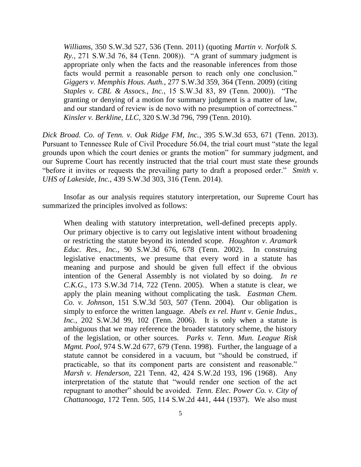*Williams*, 350 S.W.3d 527, 536 (Tenn. 2011) (quoting *Martin v. Norfolk S. Ry.*, 271 S.W.3d 76, 84 (Tenn. 2008)). "A grant of summary judgment is appropriate only when the facts and the reasonable inferences from those facts would permit a reasonable person to reach only one conclusion." *Giggers v. Memphis Hous. Auth.*, 277 S.W.3d 359, 364 (Tenn. 2009) (citing *Staples v. CBL & Assocs., Inc.*, 15 S.W.3d 83, 89 (Tenn. 2000)). "The granting or denying of a motion for summary judgment is a matter of law, and our standard of review is de novo with no presumption of correctness." *Kinsler v. Berkline, LLC*, 320 S.W.3d 796, 799 (Tenn. 2010).

*Dick Broad. Co. of Tenn. v. Oak Ridge FM, Inc.*, 395 S.W.3d 653, 671 (Tenn. 2013). Pursuant to Tennessee Rule of Civil Procedure 56.04, the trial court must "state the legal grounds upon which the court denies or grants the motion" for summary judgment, and our Supreme Court has recently instructed that the trial court must state these grounds "before it invites or requests the prevailing party to draft a proposed order." *Smith v. UHS of Lakeside, Inc.*, 439 S.W.3d 303, 316 (Tenn. 2014).

Insofar as our analysis requires statutory interpretation, our Supreme Court has summarized the principles involved as follows:

When dealing with statutory interpretation, well-defined precepts apply. Our primary objective is to carry out legislative intent without broadening or restricting the statute beyond its intended scope. *Houghton v. Aramark Educ. Res., Inc.*, 90 S.W.3d 676, 678 (Tenn. 2002). In construing legislative enactments, we presume that every word in a statute has meaning and purpose and should be given full effect if the obvious intention of the General Assembly is not violated by so doing. *In re C.K.G.*, 173 S.W.3d 714, 722 (Tenn. 2005). When a statute is clear, we apply the plain meaning without complicating the task. *Eastman Chem. Co. v. Johnson*, 151 S.W.3d 503, 507 (Tenn. 2004). Our obligation is simply to enforce the written language. *Abels ex rel. Hunt v. Genie Indus., Inc.*, 202 S.W.3d 99, 102 (Tenn. 2006). It is only when a statute is ambiguous that we may reference the broader statutory scheme, the history of the legislation, or other sources. *Parks v. Tenn. Mun. League Risk Mgmt. Pool*, 974 S.W.2d 677, 679 (Tenn. 1998). Further, the language of a statute cannot be considered in a vacuum, but "should be construed, if practicable, so that its component parts are consistent and reasonable." *Marsh v. Henderson*, 221 Tenn. 42, 424 S.W.2d 193, 196 (1968). Any interpretation of the statute that "would render one section of the act repugnant to another" should be avoided. *Tenn. Elec. Power Co. v. City of Chattanooga*, 172 Tenn. 505, 114 S.W.2d 441, 444 (1937). We also must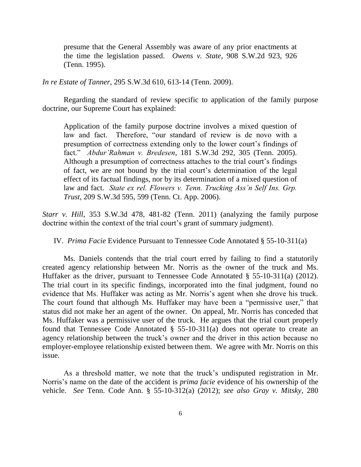presume that the General Assembly was aware of any prior enactments at the time the legislation passed. *Owens v. State*, 908 S.W.2d 923, 926 (Tenn. 1995).

*In re Estate of Tanner*, 295 S.W.3d 610, 613-14 (Tenn. 2009).

Regarding the standard of review specific to application of the family purpose doctrine, our Supreme Court has explained:

Application of the family purpose doctrine involves a mixed question of law and fact. Therefore, "our standard of review is de novo with a presumption of correctness extending only to the lower court's findings of fact." *Abdur'Rahman v. Bredesen*, 181 S.W.3d 292, 305 (Tenn. 2005). Although a presumption of correctness attaches to the trial court's findings of fact, we are not bound by the trial court"s determination of the legal effect of its factual findings, nor by its determination of a mixed question of law and fact. *State ex rel. Flowers v. Tenn. Trucking Ass'n Self Ins. Grp. Trust*, 209 S.W.3d 595, 599 (Tenn. Ct. App. 2006).

*Starr v. Hill*, 353 S.W.3d 478, 481-82 (Tenn. 2011) (analyzing the family purpose doctrine within the context of the trial court's grant of summary judgment).

IV. *Prima Facie* Evidence Pursuant to Tennessee Code Annotated § 55-10-311(a)

Ms. Daniels contends that the trial court erred by failing to find a statutorily created agency relationship between Mr. Norris as the owner of the truck and Ms. Huffaker as the driver, pursuant to Tennessee Code Annotated § 55-10-311(a) (2012). The trial court in its specific findings, incorporated into the final judgment, found no evidence that Ms. Huffaker was acting as Mr. Norris's agent when she drove his truck. The court found that although Ms. Huffaker may have been a "permissive user," that status did not make her an agent of the owner. On appeal, Mr. Norris has conceded that Ms. Huffaker was a permissive user of the truck. He argues that the trial court properly found that Tennessee Code Annotated § 55-10-311(a) does not operate to create an agency relationship between the truck's owner and the driver in this action because no employer-employee relationship existed between them. We agree with Mr. Norris on this issue.

As a threshold matter, we note that the truck"s undisputed registration in Mr. Norris's name on the date of the accident is *prima facie* evidence of his ownership of the vehicle. *See* Tenn. Code Ann. § 55-10-312(a) (2012); *see also Gray v. Mitsky*, 280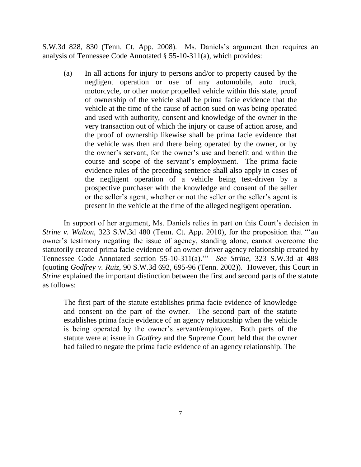S.W.3d 828, 830 (Tenn. Ct. App. 2008). Ms. Daniels"s argument then requires an analysis of Tennessee Code Annotated § 55-10-311(a), which provides:

(a) In all actions for injury to persons and/or to property caused by the negligent operation or use of any automobile, auto truck, motorcycle, or other motor propelled vehicle within this state, proof of ownership of the vehicle shall be prima facie evidence that the vehicle at the time of the cause of action sued on was being operated and used with authority, consent and knowledge of the owner in the very transaction out of which the injury or cause of action arose, and the proof of ownership likewise shall be prima facie evidence that the vehicle was then and there being operated by the owner, or by the owner"s servant, for the owner"s use and benefit and within the course and scope of the servant's employment. The prima facie evidence rules of the preceding sentence shall also apply in cases of the negligent operation of a vehicle being test-driven by a prospective purchaser with the knowledge and consent of the seller or the seller"s agent, whether or not the seller or the seller"s agent is present in the vehicle at the time of the alleged negligent operation.

In support of her argument, Ms. Daniels relies in part on this Court's decision in *Strine v. Walton*, 323 S.W.3d 480 (Tenn. Ct. App. 2010), for the proposition that "'an owner"s testimony negating the issue of agency, standing alone, cannot overcome the statutorily created prima facie evidence of an owner-driver agency relationship created by Tennessee Code Annotated section 55-10-311(a)."" *See Strine*, 323 S.W.3d at 488 (quoting *Godfrey v. Ruiz*, 90 S.W.3d 692, 695-96 (Tenn. 2002)). However, this Court in *Strine* explained the important distinction between the first and second parts of the statute as follows:

The first part of the statute establishes prima facie evidence of knowledge and consent on the part of the owner. The second part of the statute establishes prima facie evidence of an agency relationship when the vehicle is being operated by the owner's servant/employee. Both parts of the statute were at issue in *Godfrey* and the Supreme Court held that the owner had failed to negate the prima facie evidence of an agency relationship. The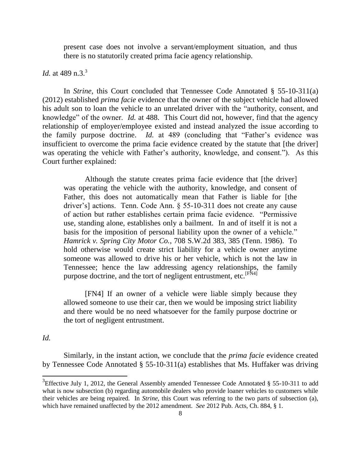present case does not involve a servant/employment situation, and thus there is no statutorily created prima facie agency relationship.

*Id.* at 489 n.3.<sup>3</sup>

In *Strine*, this Court concluded that Tennessee Code Annotated § 55-10-311(a) (2012) established *prima facie* evidence that the owner of the subject vehicle had allowed his adult son to loan the vehicle to an unrelated driver with the "authority, consent, and knowledge" of the owner. *Id.* at 488. This Court did not, however, find that the agency relationship of employer/employee existed and instead analyzed the issue according to the family purpose doctrine. *Id.* at 489 (concluding that "Father"s evidence was insufficient to overcome the prima facie evidence created by the statute that [the driver] was operating the vehicle with Father's authority, knowledge, and consent."). As this Court further explained:

Although the statute creates prima facie evidence that [the driver] was operating the vehicle with the authority, knowledge, and consent of Father, this does not automatically mean that Father is liable for [the driver"s] actions. Tenn. Code Ann. § 55-10-311 does not create any cause of action but rather establishes certain prima facie evidence. "Permissive use, standing alone, establishes only a bailment. In and of itself it is not a basis for the imposition of personal liability upon the owner of a vehicle." *Hamrick v. Spring City Motor Co.*, 708 S.W.2d 383, 385 (Tenn. 1986). To hold otherwise would create strict liability for a vehicle owner anytime someone was allowed to drive his or her vehicle, which is not the law in Tennessee; hence the law addressing agency relationships, the family purpose doctrine, and the tort of negligent entrustment, etc.<sup>[FN4]</sup>

[FN4] If an owner of a vehicle were liable simply because they allowed someone to use their car, then we would be imposing strict liability and there would be no need whatsoever for the family purpose doctrine or the tort of negligent entrustment.

*Id.*

l

Similarly, in the instant action, we conclude that the *prima facie* evidence created by Tennessee Code Annotated § 55-10-311(a) establishes that Ms. Huffaker was driving

<sup>&</sup>lt;sup>3</sup>Effective July 1, 2012, the General Assembly amended Tennessee Code Annotated § 55-10-311 to add what is now subsection (b) regarding automobile dealers who provide loaner vehicles to customers while their vehicles are being repaired. In *Strine*, this Court was referring to the two parts of subsection (a), which have remained unaffected by the 2012 amendment. *See* 2012 Pub. Acts, Ch. 884, § 1.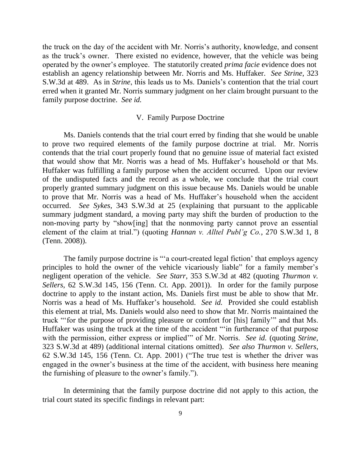the truck on the day of the accident with Mr. Norris's authority, knowledge, and consent as the truck's owner. There existed no evidence, however, that the vehicle was being operated by the owner"s employee. The statutorily created *prima facie* evidence does not establish an agency relationship between Mr. Norris and Ms. Huffaker. *See Strine*, 323 S.W.3d at 489. As in *Strine*, this leads us to Ms. Daniels"s contention that the trial court erred when it granted Mr. Norris summary judgment on her claim brought pursuant to the family purpose doctrine. *See id.*

#### V. Family Purpose Doctrine

Ms. Daniels contends that the trial court erred by finding that she would be unable to prove two required elements of the family purpose doctrine at trial. Mr. Norris contends that the trial court properly found that no genuine issue of material fact existed that would show that Mr. Norris was a head of Ms. Huffaker"s household or that Ms. Huffaker was fulfilling a family purpose when the accident occurred. Upon our review of the undisputed facts and the record as a whole, we conclude that the trial court properly granted summary judgment on this issue because Ms. Daniels would be unable to prove that Mr. Norris was a head of Ms. Huffaker"s household when the accident occurred. *See Sykes*, 343 S.W.3d at 25 (explaining that pursuant to the applicable summary judgment standard, a moving party may shift the burden of production to the non-moving party by "show[ing] that the nonmoving party cannot prove an essential element of the claim at trial.") (quoting *Hannan v. Alltel Publ'g Co.*, 270 S.W.3d 1, 8 (Tenn. 2008)).

The family purpose doctrine is ""a court-created legal fiction' that employs agency principles to hold the owner of the vehicle vicariously liable" for a family member's negligent operation of the vehicle. *See Starr*, 353 S.W.3d at 482 (quoting *Thurmon v. Sellers*, 62 S.W.3d 145, 156 (Tenn. Ct. App. 2001)). In order for the family purpose doctrine to apply to the instant action, Ms. Daniels first must be able to show that Mr. Norris was a head of Ms. Huffaker"s household. *See id.* Provided she could establish this element at trial, Ms. Daniels would also need to show that Mr. Norris maintained the truck ""for the purpose of providing pleasure or comfort for [his] family"" and that Ms. Huffaker was using the truck at the time of the accident ""in furtherance of that purpose with the permission, either express or implied" of Mr. Norris. *See id.* (quoting *Strine*, 323 S.W.3d at 489) (additional internal citations omitted). *See also Thurmon v. Sellers*, 62 S.W.3d 145, 156 (Tenn. Ct. App. 2001) ("The true test is whether the driver was engaged in the owner"s business at the time of the accident, with business here meaning the furnishing of pleasure to the owner's family.").

In determining that the family purpose doctrine did not apply to this action, the trial court stated its specific findings in relevant part: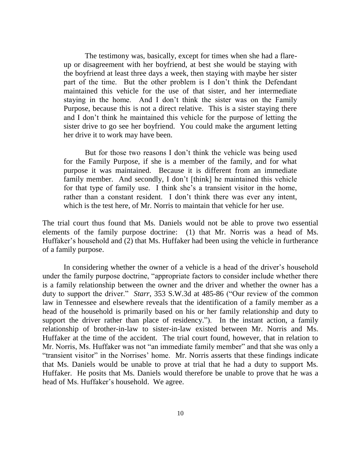The testimony was, basically, except for times when she had a flareup or disagreement with her boyfriend, at best she would be staying with the boyfriend at least three days a week, then staying with maybe her sister part of the time. But the other problem is I don"t think the Defendant maintained this vehicle for the use of that sister, and her intermediate staying in the home. And I don"t think the sister was on the Family Purpose, because this is not a direct relative. This is a sister staying there and I don"t think he maintained this vehicle for the purpose of letting the sister drive to go see her boyfriend. You could make the argument letting her drive it to work may have been.

But for those two reasons I don"t think the vehicle was being used for the Family Purpose, if she is a member of the family, and for what purpose it was maintained. Because it is different from an immediate family member. And secondly, I don't [think] he maintained this vehicle for that type of family use. I think she"s a transient visitor in the home, rather than a constant resident. I don't think there was ever any intent, which is the test here, of Mr. Norris to maintain that vehicle for her use.

The trial court thus found that Ms. Daniels would not be able to prove two essential elements of the family purpose doctrine: (1) that Mr. Norris was a head of Ms. Huffaker"s household and (2) that Ms. Huffaker had been using the vehicle in furtherance of a family purpose.

In considering whether the owner of a vehicle is a head of the driver's household under the family purpose doctrine, "appropriate factors to consider include whether there is a family relationship between the owner and the driver and whether the owner has a duty to support the driver." *Starr*, 353 S.W.3d at 485-86 ("Our review of the common law in Tennessee and elsewhere reveals that the identification of a family member as a head of the household is primarily based on his or her family relationship and duty to support the driver rather than place of residency."). In the instant action, a family relationship of brother-in-law to sister-in-law existed between Mr. Norris and Ms. Huffaker at the time of the accident. The trial court found, however, that in relation to Mr. Norris, Ms. Huffaker was not "an immediate family member" and that she was only a "transient visitor" in the Norrises" home. Mr. Norris asserts that these findings indicate that Ms. Daniels would be unable to prove at trial that he had a duty to support Ms. Huffaker. He posits that Ms. Daniels would therefore be unable to prove that he was a head of Ms. Huffaker's household. We agree.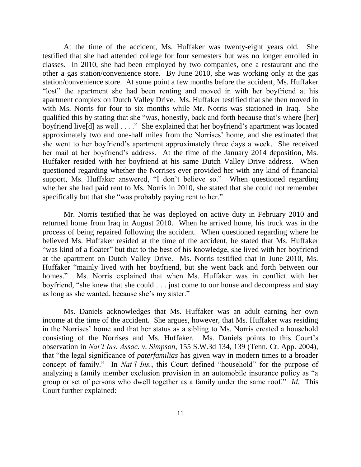At the time of the accident, Ms. Huffaker was twenty-eight years old. She testified that she had attended college for four semesters but was no longer enrolled in classes. In 2010, she had been employed by two companies, one a restaurant and the other a gas station/convenience store. By June 2010, she was working only at the gas station/convenience store. At some point a few months before the accident, Ms. Huffaker "lost" the apartment she had been renting and moved in with her boyfriend at his apartment complex on Dutch Valley Drive. Ms. Huffaker testified that she then moved in with Ms. Norris for four to six months while Mr. Norris was stationed in Iraq. She qualified this by stating that she "was, honestly, back and forth because that's where [her] boyfriend live[d] as well . . . ." She explained that her boyfriend"s apartment was located approximately two and one-half miles from the Norrises" home, and she estimated that she went to her boyfriend"s apartment approximately three days a week. She received her mail at her boyfriend"s address. At the time of the January 2014 deposition, Ms. Huffaker resided with her boyfriend at his same Dutch Valley Drive address. When questioned regarding whether the Norrises ever provided her with any kind of financial support, Ms. Huffaker answered, "I don't believe so." When questioned regarding whether she had paid rent to Ms. Norris in 2010, she stated that she could not remember specifically but that she "was probably paying rent to her."

Mr. Norris testified that he was deployed on active duty in February 2010 and returned home from Iraq in August 2010. When he arrived home, his truck was in the process of being repaired following the accident. When questioned regarding where he believed Ms. Huffaker resided at the time of the accident, he stated that Ms. Huffaker "was kind of a floater" but that to the best of his knowledge, she lived with her boyfriend at the apartment on Dutch Valley Drive. Ms. Norris testified that in June 2010, Ms. Huffaker "mainly lived with her boyfriend, but she went back and forth between our homes." Ms. Norris explained that when Ms. Huffaker was in conflict with her boyfriend, "she knew that she could . . . just come to our house and decompress and stay as long as she wanted, because she"s my sister."

Ms. Daniels acknowledges that Ms. Huffaker was an adult earning her own income at the time of the accident. She argues, however, that Ms. Huffaker was residing in the Norrises" home and that her status as a sibling to Ms. Norris created a household consisting of the Norrises and Ms. Huffaker. Ms. Daniels points to this Court"s observation in *Nat'l Ins. Assoc. v. Simpson*, 155 S.W.3d 134, 139 (Tenn. Ct. App. 2004), that "the legal significance of *paterfamilias* has given way in modern times to a broader concept of family." In *Nat'l Ins.*, this Court defined "household" for the purpose of analyzing a family member exclusion provision in an automobile insurance policy as "a group or set of persons who dwell together as a family under the same roof." *Id.* This Court further explained: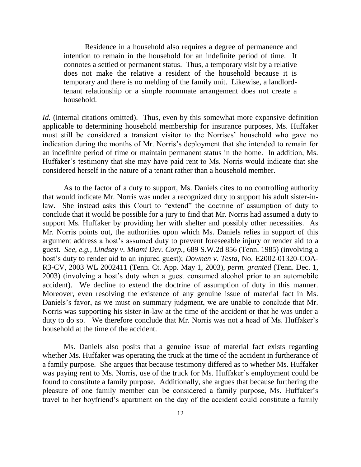Residence in a household also requires a degree of permanence and intention to remain in the household for an indefinite period of time. It connotes a settled or permanent status. Thus, a temporary visit by a relative does not make the relative a resident of the household because it is temporary and there is no melding of the family unit. Likewise, a landlordtenant relationship or a simple roommate arrangement does not create a household.

*Id.* (internal citations omitted).Thus, even by this somewhat more expansive definition applicable to determining household membership for insurance purposes, Ms. Huffaker must still be considered a transient visitor to the Norrises' household who gave no indication during the months of Mr. Norris's deployment that she intended to remain for an indefinite period of time or maintain permanent status in the home. In addition, Ms. Huffaker's testimony that she may have paid rent to Ms. Norris would indicate that she considered herself in the nature of a tenant rather than a household member.

As to the factor of a duty to support, Ms. Daniels cites to no controlling authority that would indicate Mr. Norris was under a recognized duty to support his adult sister-inlaw. She instead asks this Court to "extend" the doctrine of assumption of duty to conclude that it would be possible for a jury to find that Mr. Norris had assumed a duty to support Ms. Huffaker by providing her with shelter and possibly other necessities. As Mr. Norris points out, the authorities upon which Ms. Daniels relies in support of this argument address a host"s assumed duty to prevent foreseeable injury or render aid to a guest. *See, e.g., Lindsey v. Miami Dev. Corp.*, 689 S.W.2d 856 (Tenn. 1985) (involving a host"s duty to render aid to an injured guest); *Downen v. Testa*, No. E2002-01320-COA-R3-CV, 2003 WL 2002411 (Tenn. Ct. App. May 1, 2003), *perm. granted* (Tenn. Dec. 1, 2003) (involving a host"s duty when a guest consumed alcohol prior to an automobile accident). We decline to extend the doctrine of assumption of duty in this manner. Moreover, even resolving the existence of any genuine issue of material fact in Ms. Daniels's favor, as we must on summary judgment, we are unable to conclude that Mr. Norris was supporting his sister-in-law at the time of the accident or that he was under a duty to do so. We therefore conclude that Mr. Norris was not a head of Ms. Huffaker's household at the time of the accident.

Ms. Daniels also posits that a genuine issue of material fact exists regarding whether Ms. Huffaker was operating the truck at the time of the accident in furtherance of a family purpose. She argues that because testimony differed as to whether Ms. Huffaker was paying rent to Ms. Norris, use of the truck for Ms. Huffaker's employment could be found to constitute a family purpose. Additionally, she argues that because furthering the pleasure of one family member can be considered a family purpose, Ms. Huffaker"s travel to her boyfriend"s apartment on the day of the accident could constitute a family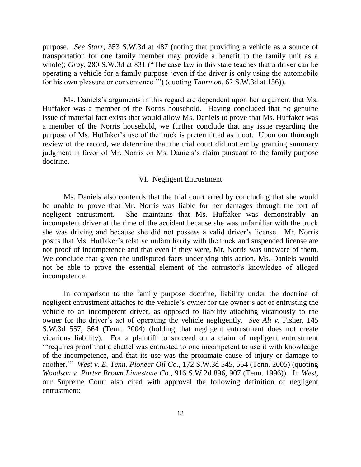purpose. *See Starr*, 353 S.W.3d at 487 (noting that providing a vehicle as a source of transportation for one family member may provide a benefit to the family unit as a whole); *Gray*, 280 S.W.3d at 831 ("The case law in this state teaches that a driver can be operating a vehicle for a family purpose "even if the driver is only using the automobile for his own pleasure or convenience."") (quoting *Thurmon*, 62 S.W.3d at 156)).

Ms. Daniels's arguments in this regard are dependent upon her argument that Ms. Huffaker was a member of the Norris household. Having concluded that no genuine issue of material fact exists that would allow Ms. Daniels to prove that Ms. Huffaker was a member of the Norris household, we further conclude that any issue regarding the purpose of Ms. Huffaker"s use of the truck is pretermitted as moot. Upon our thorough review of the record, we determine that the trial court did not err by granting summary judgment in favor of Mr. Norris on Ms. Daniels's claim pursuant to the family purpose doctrine.

### VI. Negligent Entrustment

Ms. Daniels also contends that the trial court erred by concluding that she would be unable to prove that Mr. Norris was liable for her damages through the tort of negligent entrustment. She maintains that Ms. Huffaker was demonstrably an incompetent driver at the time of the accident because she was unfamiliar with the truck she was driving and because she did not possess a valid driver"s license. Mr. Norris posits that Ms. Huffaker"s relative unfamiliarity with the truck and suspended license are not proof of incompetence and that even if they were, Mr. Norris was unaware of them. We conclude that given the undisputed facts underlying this action, Ms. Daniels would not be able to prove the essential element of the entrustor"s knowledge of alleged incompetence.

In comparison to the family purpose doctrine, liability under the doctrine of negligent entrustment attaches to the vehicle"s owner for the owner"s act of entrusting the vehicle to an incompetent driver, as opposed to liability attaching vicariously to the owner for the driver's act of operating the vehicle negligently. *See Ali v.* Fisher, 145 S.W.3d 557, 564 (Tenn. 2004) (holding that negligent entrustment does not create vicarious liability). For a plaintiff to succeed on a claim of negligent entrustment ""requires proof that a chattel was entrusted to one incompetent to use it with knowledge of the incompetence, and that its use was the proximate cause of injury or damage to another."" *West v. E. Tenn. Pioneer Oil Co.*, 172 S.W.3d 545, 554 (Tenn. 2005) (quoting *Woodson v. Porter Brown Limestone Co.*, 916 S.W.2d 896, 907 (Tenn. 1996)). In *West*, our Supreme Court also cited with approval the following definition of negligent entrustment: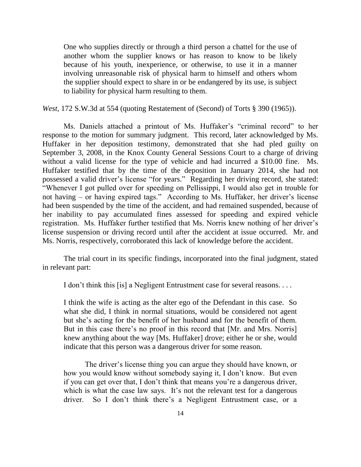One who supplies directly or through a third person a chattel for the use of another whom the supplier knows or has reason to know to be likely because of his youth, inexperience, or otherwise, to use it in a manner involving unreasonable risk of physical harm to himself and others whom the supplier should expect to share in or be endangered by its use, is subject to liability for physical harm resulting to them.

*West*, 172 S.W.3d at 554 (quoting Restatement of (Second) of Torts § 390 (1965)).

Ms. Daniels attached a printout of Ms. Huffaker's "criminal record" to her response to the motion for summary judgment. This record, later acknowledged by Ms. Huffaker in her deposition testimony, demonstrated that she had pled guilty on September 3, 2008, in the Knox County General Sessions Court to a charge of driving without a valid license for the type of vehicle and had incurred a \$10.00 fine. Ms. Huffaker testified that by the time of the deposition in January 2014, she had not possessed a valid driver"s license "for years." Regarding her driving record, she stated: "Whenever I got pulled over for speeding on Pellissippi, I would also get in trouble for not having – or having expired tags." According to Ms. Huffaker, her driver's license had been suspended by the time of the accident, and had remained suspended, because of her inability to pay accumulated fines assessed for speeding and expired vehicle registration. Ms. Huffaker further testified that Ms. Norris knew nothing of her driver"s license suspension or driving record until after the accident at issue occurred. Mr. and Ms. Norris, respectively, corroborated this lack of knowledge before the accident.

The trial court in its specific findings, incorporated into the final judgment, stated in relevant part:

I don"t think this [is] a Negligent Entrustment case for several reasons. . . .

I think the wife is acting as the alter ego of the Defendant in this case. So what she did, I think in normal situations, would be considered not agent but she"s acting for the benefit of her husband and for the benefit of them. But in this case there's no proof in this record that [Mr. and Mrs. Norris] knew anything about the way [Ms. Huffaker] drove; either he or she, would indicate that this person was a dangerous driver for some reason.

The driver's license thing you can argue they should have known, or how you would know without somebody saying it, I don"t know. But even if you can get over that, I don"t think that means you"re a dangerous driver, which is what the case law says. It's not the relevant test for a dangerous driver. So I don"t think there"s a Negligent Entrustment case, or a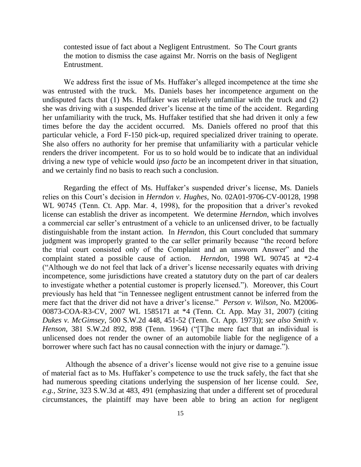contested issue of fact about a Negligent Entrustment. So The Court grants the motion to dismiss the case against Mr. Norris on the basis of Negligent Entrustment.

We address first the issue of Ms. Huffaker's alleged incompetence at the time she was entrusted with the truck. Ms. Daniels bases her incompetence argument on the undisputed facts that (1) Ms. Huffaker was relatively unfamiliar with the truck and (2) she was driving with a suspended driver"s license at the time of the accident. Regarding her unfamiliarity with the truck, Ms. Huffaker testified that she had driven it only a few times before the day the accident occurred. Ms. Daniels offered no proof that this particular vehicle, a Ford F-150 pick-up, required specialized driver training to operate. She also offers no authority for her premise that unfamiliarity with a particular vehicle renders the driver incompetent. For us to so hold would be to indicate that an individual driving a new type of vehicle would *ipso facto* be an incompetent driver in that situation, and we certainly find no basis to reach such a conclusion.

Regarding the effect of Ms. Huffaker's suspended driver's license, Ms. Daniels relies on this Court"s decision in *Herndon v. Hughes*, No. 02A01-9706-CV-00128, 1998 WL 90745 (Tenn. Ct. App. Mar. 4, 1998), for the proposition that a driver's revoked license can establish the driver as incompetent. We determine *Herndon*, which involves a commercial car seller's entrustment of a vehicle to an unlicensed driver, to be factually distinguishable from the instant action. In *Herndon*, this Court concluded that summary judgment was improperly granted to the car seller primarily because "the record before the trial court consisted only of the Complaint and an unsworn Answer" and the complaint stated a possible cause of action. *Herndon*, 1998 WL 90745 at \*2-4 ("Although we do not feel that lack of a driver"s license necessarily equates with driving incompetence, some jurisdictions have created a statutory duty on the part of car dealers to investigate whether a potential customer is properly licensed."). Moreover, this Court previously has held that "in Tennessee negligent entrustment cannot be inferred from the mere fact that the driver did not have a driver"s license." *Person v. Wilson*, No. M2006- 00873-COA-R3-CV, 2007 WL 1585171 at \*4 (Tenn. Ct. App. May 31, 2007) (citing *Dukes v. McGimsey*, 500 S.W.2d 448, 451-52 (Tenn. Ct. App. 1973)); *see also Smith v. Henson*, 381 S.W.2d 892, 898 (Tenn. 1964) ("[T]he mere fact that an individual is unlicensed does not render the owner of an automobile liable for the negligence of a borrower where such fact has no causal connection with the injury or damage.").

Although the absence of a driver"s license would not give rise to a genuine issue of material fact as to Ms. Huffaker"s competence to use the truck safely, the fact that she had numerous speeding citations underlying the suspension of her license could. *See, e.g., Strine*, 323 S.W.3d at 483, 491 (emphasizing that under a different set of procedural circumstances, the plaintiff may have been able to bring an action for negligent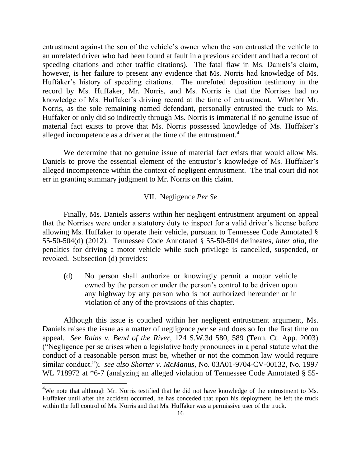entrustment against the son of the vehicle's owner when the son entrusted the vehicle to an unrelated driver who had been found at fault in a previous accident and had a record of speeding citations and other traffic citations). The fatal flaw in Ms. Daniels's claim, however, is her failure to present any evidence that Ms. Norris had knowledge of Ms. Huffaker's history of speeding citations. The unrefuted deposition testimony in the record by Ms. Huffaker, Mr. Norris, and Ms. Norris is that the Norrises had no knowledge of Ms. Huffaker"s driving record at the time of entrustment. Whether Mr. Norris, as the sole remaining named defendant, personally entrusted the truck to Ms. Huffaker or only did so indirectly through Ms. Norris is immaterial if no genuine issue of material fact exists to prove that Ms. Norris possessed knowledge of Ms. Huffaker"s alleged incompetence as a driver at the time of the entrustment.<sup>4</sup>

We determine that no genuine issue of material fact exists that would allow Ms. Daniels to prove the essential element of the entrustor's knowledge of Ms. Huffaker's alleged incompetence within the context of negligent entrustment. The trial court did not err in granting summary judgment to Mr. Norris on this claim.

## VII. Negligence *Per Se*

Finally, Ms. Daniels asserts within her negligent entrustment argument on appeal that the Norrises were under a statutory duty to inspect for a valid driver"s license before allowing Ms. Huffaker to operate their vehicle, pursuant to Tennessee Code Annotated § 55-50-504(d) (2012). Tennessee Code Annotated § 55-50-504 delineates, *inter alia*, the penalties for driving a motor vehicle while such privilege is cancelled, suspended, or revoked. Subsection (d) provides:

(d) No person shall authorize or knowingly permit a motor vehicle owned by the person or under the person"s control to be driven upon any highway by any person who is not authorized hereunder or in violation of any of the provisions of this chapter.

Although this issue is couched within her negligent entrustment argument, Ms. Daniels raises the issue as a matter of negligence *per* se and does so for the first time on appeal. *See Rains v. Bend of the River*, 124 S.W.3d 580, 589 (Tenn. Ct. App. 2003) ("Negligence per se arises when a legislative body pronounces in a penal statute what the conduct of a reasonable person must be, whether or not the common law would require similar conduct."); *see also Shorter v. McManus*, No. 03A01-9704-CV-00132, No. 1997 WL 718972 at  $*6-7$  (analyzing an alleged violation of Tennessee Code Annotated § 55-

l

 $4W$ e note that although Mr. Norris testified that he did not have knowledge of the entrustment to Ms. Huffaker until after the accident occurred, he has conceded that upon his deployment, he left the truck within the full control of Ms. Norris and that Ms. Huffaker was a permissive user of the truck.